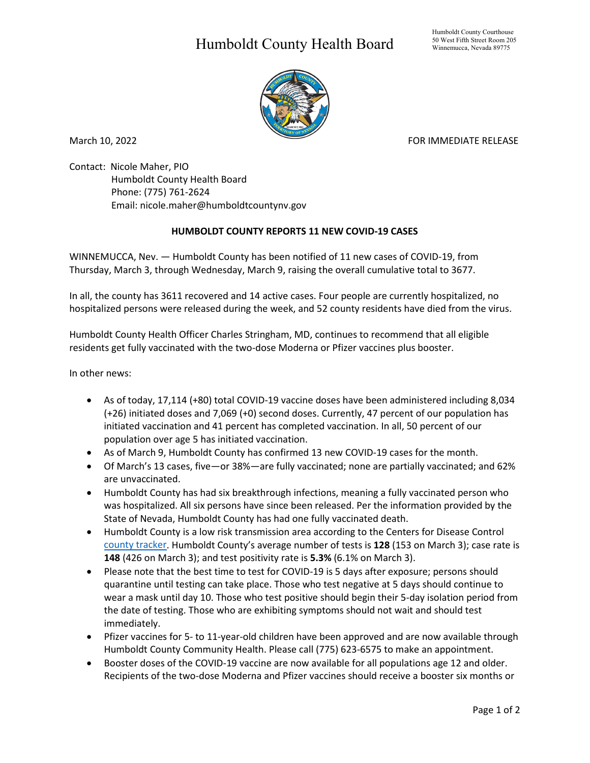## Humboldt County Health Board



March 10, 2022 **FOR IMMEDIATE RELEASE** 

Contact: Nicole Maher, PIO Humboldt County Health Board Phone: (775) 761-2624 Email: nicole.maher@humboldtcountynv.gov

## **HUMBOLDT COUNTY REPORTS 11 NEW COVID-19 CASES**

WINNEMUCCA, Nev. — Humboldt County has been notified of 11 new cases of COVID-19, from Thursday, March 3, through Wednesday, March 9, raising the overall cumulative total to 3677.

In all, the county has 3611 recovered and 14 active cases. Four people are currently hospitalized, no hospitalized persons were released during the week, and 52 county residents have died from the virus.

Humboldt County Health Officer Charles Stringham, MD, continues to recommend that all eligible residents get fully vaccinated with the two-dose Moderna or Pfizer vaccines plus booster.

In other news:

- As of today, 17,114 (+80) total COVID-19 vaccine doses have been administered including 8,034 (+26) initiated doses and 7,069 (+0) second doses. Currently, 47 percent of our population has initiated vaccination and 41 percent has completed vaccination. In all, 50 percent of our population over age 5 has initiated vaccination.
- As of March 9, Humboldt County has confirmed 13 new COVID-19 cases for the month.
- Of March's 13 cases, five—or 38%—are fully vaccinated; none are partially vaccinated; and 62% are unvaccinated.
- Humboldt County has had six breakthrough infections, meaning a fully vaccinated person who was hospitalized. All six persons have since been released. Per the information provided by the State of Nevada, Humboldt County has had one fully vaccinated death.
- Humboldt County is a low risk transmission area according to the Centers for Disease Control [county tracker.](https://www.cdc.gov/coronavirus/2019-ncov/science/community-levels.html) Humboldt County's average number of tests is **128** (153 on March 3); case rate is **148** (426 on March 3); and test positivity rate is **5.3%** (6.1% on March 3).
- Please note that the best time to test for COVID-19 is 5 days after exposure; persons should quarantine until testing can take place. Those who test negative at 5 days should continue to wear a mask until day 10. Those who test positive should begin their 5-day isolation period from the date of testing. Those who are exhibiting symptoms should not wait and should test immediately.
- Pfizer vaccines for 5- to 11-year-old children have been approved and are now available through Humboldt County Community Health. Please call (775) 623-6575 to make an appointment.
- Booster doses of the COVID-19 vaccine are now available for all populations age 12 and older. Recipients of the two-dose Moderna and Pfizer vaccines should receive a booster six months or